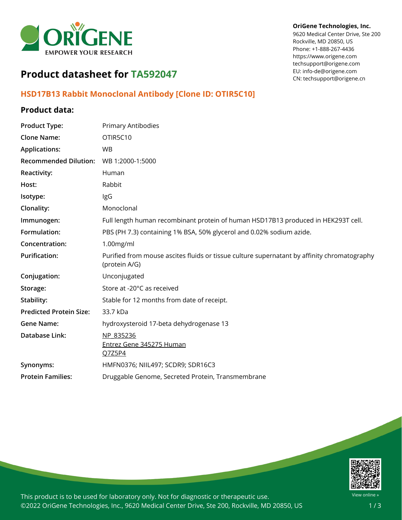

#### **OriGene Technologies, Inc.**

9620 Medical Center Drive, Ste 200 Rockville, MD 20850, US Phone: +1-888-267-4436 https://www.origene.com techsupport@origene.com EU: info-de@origene.com CN: techsupport@origene.cn

# **Product datasheet for TA592047**

## **HSD17B13 Rabbit Monoclonal Antibody [Clone ID: OTIR5C10]**

#### **Product data:**

| <b>Product Type:</b>           | Primary Antibodies                                                                                           |
|--------------------------------|--------------------------------------------------------------------------------------------------------------|
| <b>Clone Name:</b>             | OTIR5C10                                                                                                     |
| <b>Applications:</b>           | <b>WB</b>                                                                                                    |
| <b>Recommended Dilution:</b>   | WB 1:2000-1:5000                                                                                             |
| Reactivity:                    | Human                                                                                                        |
| Host:                          | Rabbit                                                                                                       |
| Isotype:                       | IgG                                                                                                          |
| Clonality:                     | Monoclonal                                                                                                   |
| Immunogen:                     | Full length human recombinant protein of human HSD17B13 produced in HEK293T cell.                            |
| Formulation:                   | PBS (PH 7.3) containing 1% BSA, 50% glycerol and 0.02% sodium azide.                                         |
| Concentration:                 | $1.00$ mg/ml                                                                                                 |
| <b>Purification:</b>           | Purified from mouse ascites fluids or tissue culture supernatant by affinity chromatography<br>(protein A/G) |
| Conjugation:                   | Unconjugated                                                                                                 |
| Storage:                       | Store at -20°C as received                                                                                   |
| Stability:                     | Stable for 12 months from date of receipt.                                                                   |
| <b>Predicted Protein Size:</b> | 33.7 kDa                                                                                                     |
| <b>Gene Name:</b>              | hydroxysteroid 17-beta dehydrogenase 13                                                                      |
| Database Link:                 | NP 835236<br>Entrez Gene 345275 Human<br>Q7Z5P4                                                              |
| Synonyms:                      | HMFN0376; NIIL497; SCDR9; SDR16C3                                                                            |
| <b>Protein Families:</b>       | Druggable Genome, Secreted Protein, Transmembrane                                                            |



This product is to be used for laboratory only. Not for diagnostic or therapeutic use. ©2022 OriGene Technologies, Inc., 9620 Medical Center Drive, Ste 200, Rockville, MD 20850, US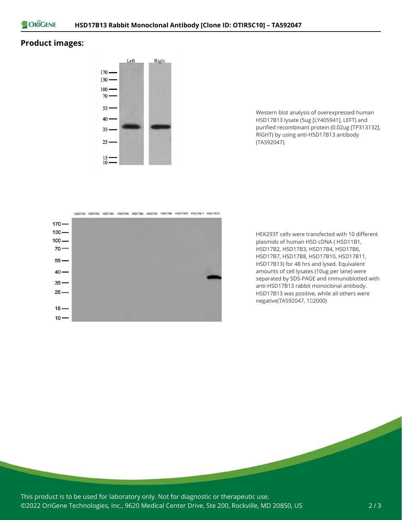

## **Product images:**



Western blot analysis of overexpressed human HSD17B13 lysate (5ug [LY405941], LEFT) and purified recombinant protein (0.02ug [TP313132], RIGHT) by using anti-HSD17B13 antibody (TA592047).



HEK293T cells were transfected with 10 different plasmids of human HSD cDNA ( HSD11B1, HSD17B2, HSD17B3, HSD17B4, HSD17B6, HSD17B7, HSD17B8, HSD17B10, HSD17B11, HSD17B13) for 48 hrs and lysed. Equivalent amounts of cell lysates (10ug per lane) were separated by SDS-PAGE and immunoblotted with anti-HSD17B13 rabbit monoclonal antibody. HSD17B13 was positive, while all others were negative(TA592047, 12000)

This product is to be used for laboratory only. Not for diagnostic or therapeutic use. ©2022 OriGene Technologies, Inc., 9620 Medical Center Drive, Ste 200, Rockville, MD 20850, US